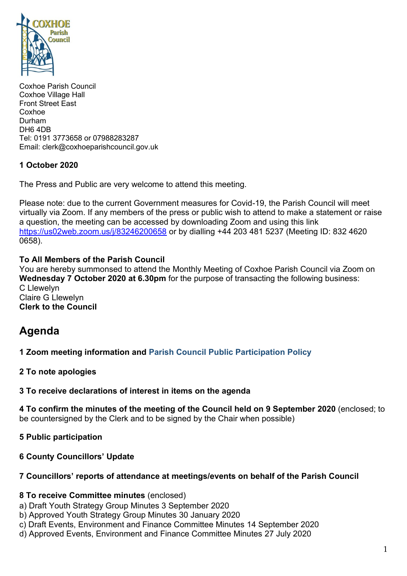

Coxhoe Parish Council Coxhoe Village Hall Front Street East Coxhoe Durham DH6 4DB Tel: 0191 3773658 or 07988283287 Email: clerk@coxhoeparishcouncil.gov.uk

# **1 October 2020**

The Press and Public are very welcome to attend this meeting.

Please note: due to the current Government measures for Covid-19, the Parish Council will meet virtually via Zoom. If any members of the press or public wish to attend to make a statement or raise a question, the meeting can be accessed by downloading Zoom and using this link <https://us02web.zoom.us/j/83246200658> or by dialling +44 203 481 5237 (Meeting ID: 832 4620 0658).

## **To All Members of the Parish Council**

You are hereby summonsed to attend the Monthly Meeting of Coxhoe Parish Council via Zoom on **Wednesday 7 October 2020 at 6.30pm** for the purpose of transacting the following business: C Llewelyn Claire G Llewelyn **Clerk to the Council**

# **Agenda**

**1 Zoom meeting information and [Parish Council Public Participation Policy](http://coxhoeparishcouncil.gov.uk/important-documents-and-policies/public-participation-policy-fmarch-2020-review-date-march-2022/)**

**2 To note apologies**

**3 To receive declarations of interest in items on the agenda**

**4 To confirm the minutes of the meeting of the Council held on 9 September 2020** (enclosed; to be countersigned by the Clerk and to be signed by the Chair when possible)

**5 Public participation**

**6 County Councillors' Update**

## **7 Councillors' reports of attendance at meetings/events on behalf of the Parish Council**

#### **8 To receive Committee minutes** (enclosed)

a) Draft Youth Strategy Group Minutes 3 September 2020

- b) Approved Youth Strategy Group Minutes 30 January 2020
- c) Draft Events, Environment and Finance Committee Minutes 14 September 2020
- d) Approved Events, Environment and Finance Committee Minutes 27 July 2020